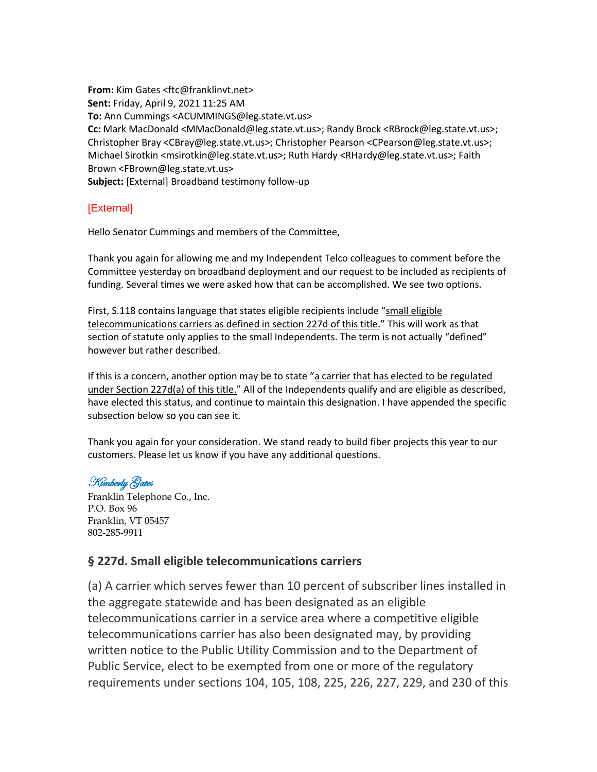**From:** Kim Gates <ftc@franklinvt.net> **Sent:** Friday, April 9, 2021 11:25 AM **To:** Ann Cummings <ACUMMINGS@leg.state.vt.us> **Cc:** Mark MacDonald <MMacDonald@leg.state.vt.us>; Randy Brock <RBrock@leg.state.vt.us>; Christopher Bray <CBray@leg.state.vt.us>; Christopher Pearson <CPearson@leg.state.vt.us>; Michael Sirotkin <msirotkin@leg.state.vt.us>; Ruth Hardy <RHardy@leg.state.vt.us>; Faith Brown <FBrown@leg.state.vt.us> **Subject:** [External] Broadband testimony follow-up

## [External]

Hello Senator Cummings and members of the Committee,

Thank you again for allowing me and my Independent Telco colleagues to comment before the Committee yesterday on broadband deployment and our request to be included as recipients of funding. Several times we were asked how that can be accomplished. We see two options.

First, S.118 contains language that states eligible recipients include "small eligible telecommunications carriers as defined in section 227d of this title." This will work as that section of statute only applies to the small Independents. The term is not actually "defined" however but rather described.

If this is a concern, another option may be to state "a carrier that has elected to be regulated under Section 227d(a) of this title." All of the Independents qualify and are eligible as described, have elected this status, and continue to maintain this designation. I have appended the specific subsection below so you can see it.

Thank you again for your consideration. We stand ready to build fiber projects this year to our customers. Please let us know if you have any additional questions.

## Kimberly Gates

Franklin Telephone Co., Inc. P.O. Box 96 Franklin, VT 05457 802-285-9911

## **§ 227d. Small eligible telecommunications carriers**

(a) A carrier which serves fewer than 10 percent of subscriber lines installed in the aggregate statewide and has been designated as an eligible telecommunications carrier in a service area where a competitive eligible telecommunications carrier has also been designated may, by providing written notice to the Public Utility Commission and to the Department of Public Service, elect to be exempted from one or more of the regulatory requirements under sections 104, 105, 108, 225, 226, 227, 229, and 230 of this